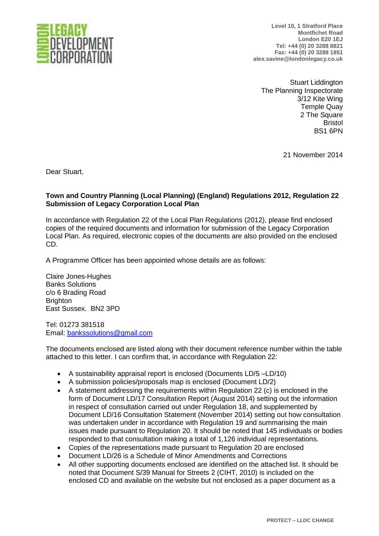

**Level 10, 1 Stratford Place Montfichet Road London E20 1EJ Tel: +44 (0) 20 3288 8821 Fax: +44 (0) 20 3288 1851 alex.savine@londonlegacy.co.uk**

Stuart Liddington The Planning Inspectorate 3/12 Kite Wing Temple Quay 2 The Square Bristol BS1 6PN

21 November 2014

Dear Stuart,

## **Town and Country Planning (Local Planning) (England) Regulations 2012, Regulation 22 Submission of Legacy Corporation Local Plan**

In accordance with Regulation 22 of the Local Plan Regulations (2012), please find enclosed copies of the required documents and information for submission of the Legacy Corporation Local Plan. As required, electronic copies of the documents are also provided on the enclosed CD.

A Programme Officer has been appointed whose details are as follows:

Claire Jones-Hughes Banks Solutions c/o 6 Brading Road **Brighton** East Sussex. BN2 3PD

Tel: 01273 381518 Email: [bankssolutions@gmail.com](mailto:bankssolutions@gmail.com)

The documents enclosed are listed along with their document reference number within the table attached to this letter. I can confirm that, in accordance with Regulation 22:

- A sustainability appraisal report is enclosed (Documents LD/5 –LD/10)
- A submission policies/proposals map is enclosed (Document LD/2)
- A statement addressing the requirements within Regulation 22 (c) is enclosed in the form of Document LD/17 Consultation Report (August 2014) setting out the information in respect of consultation carried out under Regulation 18, and supplemented by Document LD/16 Consultation Statement (November 2014) setting out how consultation was undertaken under in accordance with Regulation 19 and summarising the main issues made pursuant to Regulation 20. It should be noted that 145 individuals or bodies responded to that consultation making a total of 1,126 individual representations.
- Copies of the representations made pursuant to Regulation 20 are enclosed
- Document LD/26 is a Schedule of Minor Amendments and Corrections
- All other supporting documents enclosed are identified on the attached list. It should be noted that Document S/39 Manual for Streets 2 (CIHT, 2010) is included on the enclosed CD and available on the website but not enclosed as a paper document as a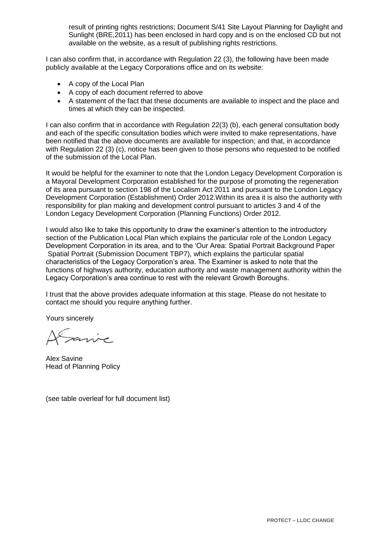result of printing rights restrictions; Document S/41 Site Layout Planning for Daylight and Sunlight (BRE,2011) has been enclosed in hard copy and is on the enclosed CD but not available on the website, as a result of publishing rights restrictions.

I can also confirm that, in accordance with Regulation 22 (3), the following have been made publicly available at the Legacy Corporations office and on its website:

- A copy of the Local Plan
- A copy of each document referred to above
- A statement of the fact that these documents are available to inspect and the place and times at which they can be inspected.

I can also confirm that in accordance with Regulation 22(3) (b), each general consultation body and each of the specific consultation bodies which were invited to make representations, have been notified that the above documents are available for inspection; and that, in accordance with Regulation 22 (3) (c), notice has been given to those persons who requested to be notified of the submission of the Local Plan.

It would be helpful for the examiner to note that the London Legacy Development Corporation is a Mayoral Development Corporation established for the purpose of promoting the regeneration of its area pursuant to section 198 of the Localism Act 2011 and pursuant to the London Legacy Development Corporation (Establishment) Order 2012.Within its area it is also the authority with responsibility for plan making and development control pursuant to articles 3 and 4 of the London Legacy Development Corporation (Planning Functions) Order 2012.

I would also like to take this opportunity to draw the examiner's attention to the introductory section of the Publication Local Plan which explains the particular role of the London Legacy Development Corporation in its area, and to the 'Our Area: Spatial Portrait Background Paper Spatial Portrait (Submission Document TBP7), which explains the particular spatial characteristics of the Legacy Corporation's area. The Examiner is asked to note that the functions of highways authority, education authority and waste management authority within the Legacy Corporation's area continue to rest with the relevant Growth Boroughs.

I trust that the above provides adequate information at this stage. Please do not hesitate to contact me should you require anything further.

Yours sincerely

sarve

Alex Savine Head of Planning Policy

(see table overleaf for full document list)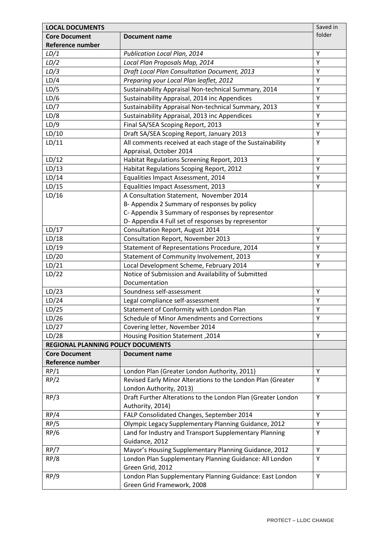| <b>LOCAL DOCUMENTS</b>             |                                                                                        | Saved in |
|------------------------------------|----------------------------------------------------------------------------------------|----------|
| <b>Core Document</b>               | <b>Document name</b>                                                                   | folder   |
| <b>Reference number</b>            |                                                                                        |          |
| LD/1                               | Publication Local Plan, 2014                                                           | Υ        |
| LD/2                               | Local Plan Proposals Map, 2014                                                         | Y        |
| LD/3                               | <b>Draft Local Plan Consultation Document, 2013</b>                                    | Y        |
| LD/4                               | Preparing your Local Plan leaflet, 2012                                                | Y        |
| LD/5                               | Sustainability Appraisal Non-technical Summary, 2014                                   | Υ        |
| LD/6                               | Sustainability Appraisal, 2014 inc Appendices                                          | Y        |
| LD/7                               | Sustainability Appraisal Non-technical Summary, 2013                                   | Y        |
| LD/8                               | Sustainability Appraisal, 2013 inc Appendices                                          | Υ        |
| LD/9                               | Final SA/SEA Scoping Report, 2013                                                      | Y        |
| LD/10                              | Draft SA/SEA Scoping Report, January 2013                                              | Υ        |
| LD/11                              | All comments received at each stage of the Sustainability                              | Υ        |
|                                    | Appraisal, October 2014                                                                |          |
| LD/12                              | Habitat Regulations Screening Report, 2013                                             | Υ        |
| LD/13                              | Habitat Regulations Scoping Report, 2012                                               | Y        |
| LD/14                              | Equalities Impact Assessment, 2014                                                     | Y        |
| LD/15                              | Equalities Impact Assessment, 2013                                                     | Υ        |
| LD/16                              | A Consultation Statement, November 2014                                                |          |
|                                    | B- Appendix 2 Summary of responses by policy                                           |          |
|                                    | C- Appendix 3 Summary of responses by representor                                      |          |
|                                    | D- Appendix 4 Full set of responses by representor                                     |          |
| LD/17                              | Consultation Report, August 2014                                                       | Y        |
| LD/18                              | <b>Consultation Report, November 2013</b>                                              | Y        |
| LD/19                              |                                                                                        | Υ        |
|                                    | Statement of Representations Procedure, 2014                                           |          |
| LD/20                              | Statement of Community Involvement, 2013                                               | Υ        |
| LD/21                              | Local Development Scheme, February 2014                                                | Y        |
| LD/22                              | Notice of Submission and Availability of Submitted                                     |          |
|                                    | Documentation                                                                          |          |
| LD/23                              | Soundness self-assessment                                                              | Υ        |
| LD/24                              | Legal compliance self-assessment                                                       | Υ        |
| LD/25                              | Statement of Conformity with London Plan                                               | Υ        |
| LD/26                              | Schedule of Minor Amendments and Corrections                                           | Υ        |
| LD/27                              | Covering letter, November 2014                                                         |          |
| LD/28                              | Housing Position Statement, 2014                                                       | Υ        |
| REGIONAL PLANNING POLICY DOCUMENTS |                                                                                        |          |
| <b>Core Document</b>               | <b>Document name</b>                                                                   |          |
| Reference number                   |                                                                                        |          |
| RP/1                               | London Plan (Greater London Authority, 2011)                                           | Y        |
| RP/2                               | Revised Early Minor Alterations to the London Plan (Greater                            | Y        |
|                                    | London Authority, 2013)                                                                |          |
| RP/3                               | Draft Further Alterations to the London Plan (Greater London                           | Υ        |
|                                    | Authority, 2014)                                                                       |          |
| RP/4                               | FALP Consolidated Changes, September 2014                                              | Y        |
| RP/5                               | Olympic Legacy Supplementary Planning Guidance, 2012                                   | Υ        |
| RP/6                               | Land for Industry and Transport Supplementary Planning                                 | Υ        |
|                                    | Guidance, 2012                                                                         |          |
| RP/7                               | Mayor's Housing Supplementary Planning Guidance, 2012                                  | Υ        |
| RP/8                               | London Plan Supplementary Planning Guidance: All London<br>Green Grid, 2012            | Υ        |
| RP/9                               | London Plan Supplementary Planning Guidance: East London<br>Green Grid Framework, 2008 | Y        |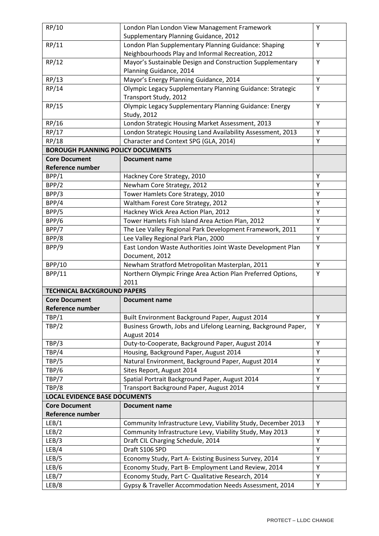| RP/10                                    | London Plan London View Management Framework                   | Y |
|------------------------------------------|----------------------------------------------------------------|---|
|                                          | Supplementary Planning Guidance, 2012                          |   |
| RP/11                                    | London Plan Supplementary Planning Guidance: Shaping           | Y |
|                                          | Neighbourhoods Play and Informal Recreation, 2012              |   |
| RP/12                                    | Mayor's Sustainable Design and Construction Supplementary      | Y |
|                                          | Planning Guidance, 2014                                        |   |
| RP/13                                    | Mayor's Energy Planning Guidance, 2014                         | Y |
| RP/14                                    | Olympic Legacy Supplementary Planning Guidance: Strategic      | Υ |
|                                          | Transport Study, 2012                                          |   |
| RP/15                                    | Olympic Legacy Supplementary Planning Guidance: Energy         | Y |
|                                          | Study, 2012                                                    |   |
| RP/16                                    | London Strategic Housing Market Assessment, 2013               | Y |
| RP/17                                    | London Strategic Housing Land Availability Assessment, 2013    | Υ |
| RP/18                                    | Character and Context SPG (GLA, 2014)                          | Y |
| <b>BOROUGH PLANNING POLICY DOCUMENTS</b> |                                                                |   |
| <b>Core Document</b>                     | <b>Document name</b>                                           |   |
| <b>Reference number</b>                  |                                                                |   |
| BPP/1                                    | Hackney Core Strategy, 2010                                    | Υ |
| BPP/2                                    | Newham Core Strategy, 2012                                     | Y |
| BPP/3                                    | Tower Hamlets Core Strategy, 2010                              | Y |
| BPP/4                                    | Waltham Forest Core Strategy, 2012                             | Υ |
| BPP/5                                    | Hackney Wick Area Action Plan, 2012                            | Υ |
| BPP/6                                    | Tower Hamlets Fish Island Area Action Plan, 2012               | Y |
| BPP/7                                    | The Lee Valley Regional Park Development Framework, 2011       | Υ |
| BPP/8                                    | Lee Valley Regional Park Plan, 2000                            | Υ |
| BPP/9                                    | East London Waste Authorities Joint Waste Development Plan     | Y |
|                                          | Document, 2012                                                 |   |
| <b>BPP/10</b>                            | Newham Stratford Metropolitan Masterplan, 2011                 | Y |
| <b>BPP/11</b>                            | Northern Olympic Fringe Area Action Plan Preferred Options,    | Υ |
|                                          | 2011                                                           |   |
| <b>TECHNICAL BACKGROUND PAPERS</b>       |                                                                |   |
| <b>Core Document</b>                     | <b>Document name</b>                                           |   |
| Reference number                         |                                                                |   |
| TBP/1                                    | Built Environment Background Paper, August 2014                | Υ |
| TBP/2                                    | Business Growth, Jobs and Lifelong Learning, Background Paper, | Υ |
|                                          | August 2014                                                    |   |
| TBP/3                                    | Duty-to-Cooperate, Background Paper, August 2014               | Υ |
| TBP/4                                    | Housing, Background Paper, August 2014                         | Y |
| TBP/5                                    | Natural Environment, Background Paper, August 2014             | Υ |
| TBP/6                                    | Sites Report, August 2014                                      | Y |
| TBP/7                                    | Spatial Portrait Background Paper, August 2014                 | Υ |
| TBP/8                                    | Transport Background Paper, August 2014                        | Y |
| <b>LOCAL EVIDENCE BASE DOCUMENTS</b>     |                                                                |   |
| <b>Core Document</b>                     | <b>Document name</b>                                           |   |
| Reference number                         |                                                                |   |
| LEB/1                                    | Community Infrastructure Levy, Viability Study, December 2013  | Y |
| LEB/2                                    | Community Infrastructure Levy, Viability Study, May 2013       | Υ |
| LEB/3                                    | Draft CIL Charging Schedule, 2014                              | Υ |
| LEB/4                                    | Draft S106 SPD                                                 | Y |
| LEB/5                                    | Economy Study, Part A- Existing Business Survey, 2014          | Y |
| LEB/6                                    | Economy Study, Part B- Employment Land Review, 2014            | Υ |
| LEB/7                                    | Economy Study, Part C- Qualitative Research, 2014              | Υ |
| LEB/8                                    | Gypsy & Traveller Accommodation Needs Assessment, 2014         | Υ |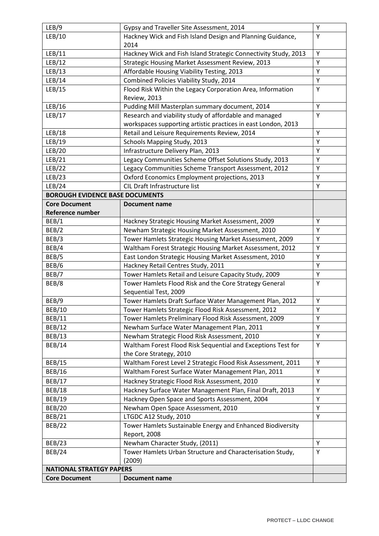| LEB/9                                  | Gypsy and Traveller Site Assessment, 2014                       | Υ |
|----------------------------------------|-----------------------------------------------------------------|---|
| LEB/10                                 | Hackney Wick and Fish Island Design and Planning Guidance,      | Υ |
|                                        | 2014                                                            |   |
| LEB/11                                 | Hackney Wick and Fish Island Strategic Connectivity Study, 2013 | Υ |
| LEB/12                                 | Strategic Housing Market Assessment Review, 2013                | Υ |
| LEB/13                                 | Affordable Housing Viability Testing, 2013                      | Y |
| LEB/14                                 | Combined Policies Viability Study, 2014                         | Υ |
| LEB/15                                 | Flood Risk Within the Legacy Corporation Area, Information      | Υ |
|                                        | <b>Review, 2013</b>                                             |   |
| LEB/16                                 | Pudding Mill Masterplan summary document, 2014                  | Υ |
| LEB/17                                 | Research and viability study of affordable and managed          | Υ |
|                                        | workspaces supporting artistic practices in east London, 2013   |   |
| LEB/18                                 | Retail and Leisure Requirements Review, 2014                    | Υ |
| LEB/19                                 | Schools Mapping Study, 2013                                     | Υ |
| LEB/20                                 | Infrastructure Delivery Plan, 2013                              | Y |
| LEB/21                                 | Legacy Communities Scheme Offset Solutions Study, 2013          | Υ |
| LEB/22                                 | Legacy Communities Scheme Transport Assessment, 2012            | Υ |
| LEB/23                                 | Oxford Economics Employment projections, 2013                   | Υ |
| LEB/24                                 | CIL Draft Infrastructure list                                   | Υ |
| <b>BOROUGH EVIDENCE BASE DOCUMENTS</b> |                                                                 |   |
| <b>Core Document</b>                   | <b>Document name</b>                                            |   |
| <b>Reference number</b>                |                                                                 |   |
| BEB/1                                  | Hackney Strategic Housing Market Assessment, 2009               | Y |
| BEB/2                                  | Newham Strategic Housing Market Assessment, 2010                | Υ |
| BEB/3                                  | Tower Hamlets Strategic Housing Market Assessment, 2009         | Y |
| BEB/4                                  | Waltham Forest Strategic Housing Market Assessment, 2012        | Υ |
| BEB/5                                  | East London Strategic Housing Market Assessment, 2010           | Υ |
| BEB/6                                  | Hackney Retail Centres Study, 2011                              | Υ |
| BEB/7                                  | Tower Hamlets Retail and Leisure Capacity Study, 2009           | Υ |
| BEB/8                                  | Tower Hamlets Flood Risk and the Core Strategy General          | Υ |
|                                        | Sequential Test, 2009                                           |   |
| BEB/9                                  | Tower Hamlets Draft Surface Water Management Plan, 2012         | Υ |
| <b>BEB/10</b>                          | Tower Hamlets Strategic Flood Risk Assessment, 2012             | Y |
| <b>BEB/11</b>                          | Tower Hamlets Preliminary Flood Risk Assessment, 2009           | Y |
| <b>BEB/12</b>                          | Newham Surface Water Management Plan, 2011                      | Υ |
| <b>BEB/13</b>                          | Newham Strategic Flood Risk Assessment, 2010                    | Υ |
| <b>BEB/14</b>                          | Waltham Forest Flood Risk Sequential and Exceptions Test for    | Y |
|                                        | the Core Strategy, 2010                                         |   |
| <b>BEB/15</b>                          | Waltham Forest Level 2 Strategic Flood Risk Assessment, 2011    | Y |
| BEB/16                                 | Waltham Forest Surface Water Management Plan, 2011              | Υ |
| <b>BEB/17</b>                          | Hackney Strategic Flood Risk Assessment, 2010                   | Υ |
| <b>BEB/18</b>                          | Hackney Surface Water Management Plan, Final Draft, 2013        | Υ |
| BEB/19                                 | Hackney Open Space and Sports Assessment, 2004                  | Υ |
| <b>BEB/20</b>                          | Newham Open Space Assessment, 2010                              | Y |
| <b>BEB/21</b>                          | LTGDC A12 Study, 2010                                           | Υ |
| <b>BEB/22</b>                          | Tower Hamlets Sustainable Energy and Enhanced Biodiversity      |   |
|                                        | Report, 2008                                                    |   |
| <b>BEB/23</b>                          | Newham Character Study, (2011)                                  | Υ |
| <b>BEB/24</b>                          | Tower Hamlets Urban Structure and Characterisation Study,       | Υ |
|                                        | (2009)                                                          |   |
| <b>NATIONAL STRATEGY PAPERS</b>        |                                                                 |   |
| <b>Core Document</b>                   | <b>Document name</b>                                            |   |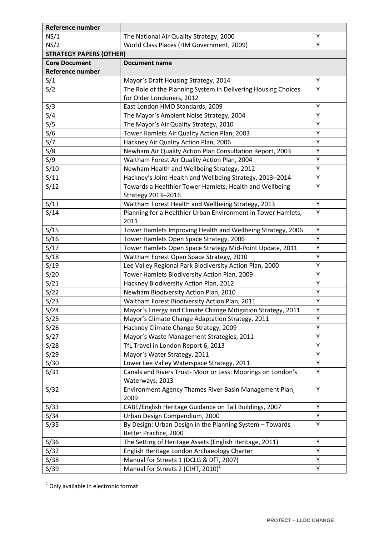| Reference number               |                                                               |   |
|--------------------------------|---------------------------------------------------------------|---|
| NS/1                           | The National Air Quality Strategy, 2000                       | Υ |
| NS/2                           | World Class Places (HM Government, 2009)                      | Y |
| <b>STRATEGY PAPERS (OTHER)</b> |                                                               |   |
| <b>Core Document</b>           | <b>Document name</b>                                          |   |
| <b>Reference number</b>        |                                                               |   |
| S/1                            | Mayor's Draft Housing Strategy, 2014                          | Υ |
| S/2                            | The Role of the Planning System in Delivering Housing Choices | Y |
|                                | for Older Londoners, 2012                                     |   |
| S/3                            | East London HMO Standards, 2009                               | Υ |
| S/4                            | The Mayor's Ambient Noise Strategy, 2004                      | Υ |
| S/5                            | The Mayor's Air Quality Strategy, 2010                        | Y |
| S/6                            | Tower Hamlets Air Quality Action Plan, 2003                   | Y |
| S/7                            | Hackney Air Quality Action Plan, 2006                         | Υ |
| S/8                            | Newham Air Quality Action Plan Consultation Report, 2003      | Y |
| S/9                            | Waltham Forest Air Quality Action Plan, 2004                  | Υ |
| S/10                           | Newham Health and Wellbeing Strategy, 2012                    | Υ |
| S/11                           | Hackney's Joint Health and Wellbeing Strategy, 2013-2014      | Υ |
| S/12                           | Towards a Healthier Tower Hamlets, Health and Wellbeing       | Υ |
|                                | Strategy 2013-2016                                            |   |
| S/13                           | Waltham Forest Health and Wellbeing Strategy, 2013            | Y |
| S/14                           | Planning for a Healthier Urban Environment in Tower Hamlets,  | Υ |
|                                | 2011                                                          |   |
| S/15                           | Tower Hamlets Improving Health and Wellbeing Strategy, 2006   | Υ |
| S/16                           | Tower Hamlets Open Space Strategy, 2006                       | Y |
| S/17                           | Tower Hamlets Open Space Strategy Mid-Point Update, 2011      | Υ |
| S/18                           | Waltham Forest Open Space Strategy, 2010                      | Υ |
| S/19                           | Lee Valley Regional Park Biodiversity Action Plan, 2000       | Υ |
| S/20                           | Tower Hamlets Biodiversity Action Plan, 2009                  | Υ |
| S/21                           | Hackney Biodiversity Action Plan, 2012                        | Υ |
| S/22                           | Newham Biodiversity Action Plan, 2010                         | Υ |
| S/23                           | Waltham Forest Biodiversity Action Plan, 2011                 | Υ |
| S/24                           | Mayor's Energy and Climate Change Mitigation Strategy, 2011   | Y |
| S/25                           | Mayor's Climate Change Adaptation Strategy, 2011              | Υ |
| S/26                           | Hackney Climate Change Strategy, 2009                         | Y |
| S/27                           | Mayor's Waste Management Strategies, 2011                     | Y |
| S/28                           | TfL Travel in London Report 6, 2013                           | Υ |
| S/29                           | Mayor's Water Strategy, 2011                                  | Y |
| S/30                           | Lower Lee Valley Waterspace Strategy, 2011                    | Υ |
| S/31                           | Canals and Rivers Trust-Moor or Less: Moorings on London's    | Υ |
|                                | Waterways, 2013                                               |   |
| S/32                           | Environment Agency Thames River Basin Management Plan,        | Υ |
|                                | 2009                                                          |   |
| S/33                           | CABE/English Heritage Guidance on Tall Buildings, 2007        | Y |
| S/34                           | Urban Design Compendium, 2000                                 | Y |
| S/35                           | By Design: Urban Design in the Planning System - Towards      | Υ |
|                                | Better Practice, 2000                                         |   |
| S/36                           | The Setting of Heritage Assets (English Heritage, 2011)       | Y |
| S/37                           | English Heritage London Archaeology Charter                   | Υ |
| S/38                           | Manual for Streets 1 (DCLG & DfT, 2007)                       | Y |
| S/39                           | Manual for Streets 2 (CIHT, 2010) <sup>1</sup>                | Υ |

1 Only available in electronic format